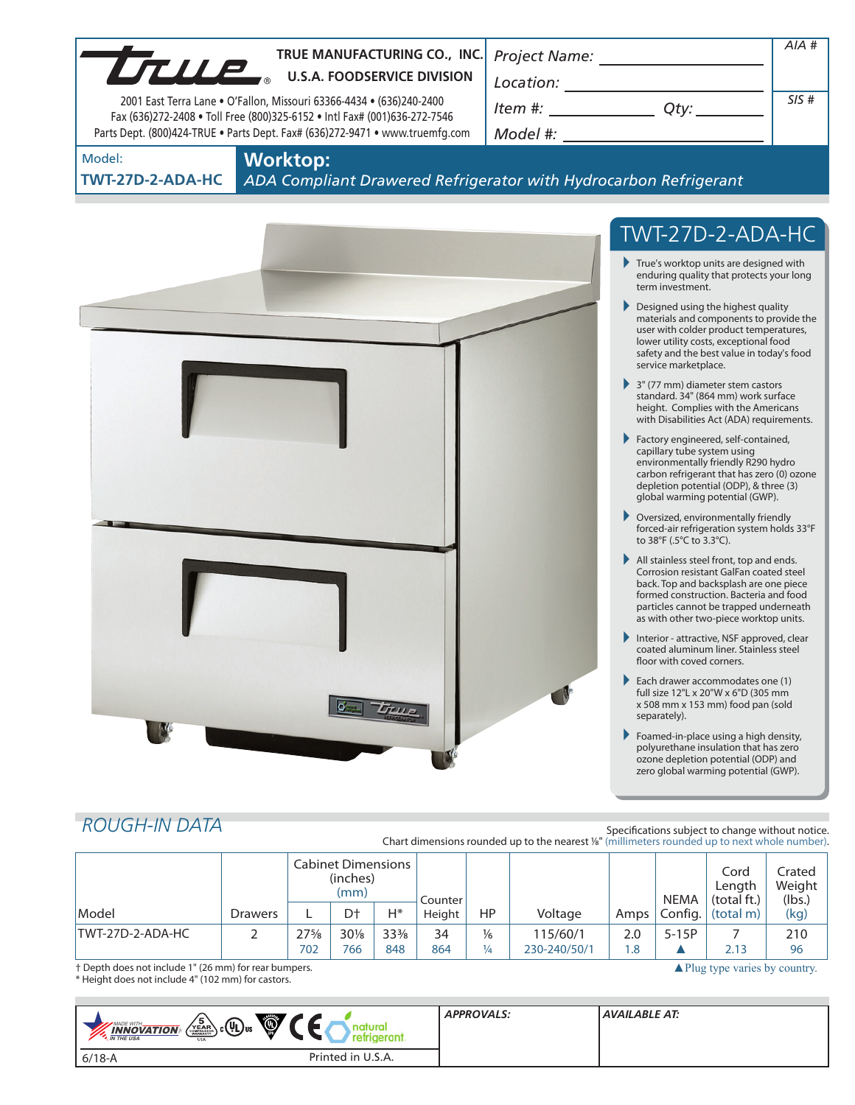|                                                                                                                                                                                                                                         |                |                        |                                               |                        | TRUE MANUFACTURING CO., INC.       |                                | Project Name: ______________________                                                           |            |                           |                                                                                                                                                                                                                                                             | $AIA$ #          |
|-----------------------------------------------------------------------------------------------------------------------------------------------------------------------------------------------------------------------------------------|----------------|------------------------|-----------------------------------------------|------------------------|------------------------------------|--------------------------------|------------------------------------------------------------------------------------------------|------------|---------------------------|-------------------------------------------------------------------------------------------------------------------------------------------------------------------------------------------------------------------------------------------------------------|------------------|
| UTULE.                                                                                                                                                                                                                                  |                |                        |                                               |                        | <b>U.S.A. FOODSERVICE DIVISION</b> |                                |                                                                                                |            |                           |                                                                                                                                                                                                                                                             |                  |
| $\begin{array}{c}\n\text{Location:}\n\\ \hline\n\text{Item } \#: \begin{array}{c}\n\hline\n\end{array} Qty: \begin{array}{c}\n\hline\n\end{array}\n\end{array}$<br>2001 East Terra Lane . O'Fallon, Missouri 63366-4434 . (636)240-2400 |                |                        |                                               |                        |                                    |                                |                                                                                                |            |                           |                                                                                                                                                                                                                                                             | SIS#             |
| Fax (636)272-2408 . Toll Free (800)325-6152 . Intl Fax# (001)636-272-7546<br>Parts Dept. (800)424-TRUE . Parts Dept. Fax# (636)272-9471 . www.truemfg.com                                                                               |                |                        |                                               |                        |                                    |                                |                                                                                                |            |                           |                                                                                                                                                                                                                                                             |                  |
| Model:                                                                                                                                                                                                                                  |                | <b>Worktop:</b>        |                                               |                        |                                    |                                |                                                                                                |            |                           |                                                                                                                                                                                                                                                             |                  |
| TWT-27D-2-ADA-HC                                                                                                                                                                                                                        |                |                        |                                               |                        |                                    |                                | ADA Compliant Drawered Refrigerator with Hydrocarbon Refrigerant                               |            |                           |                                                                                                                                                                                                                                                             |                  |
|                                                                                                                                                                                                                                         |                |                        |                                               |                        |                                    |                                |                                                                                                |            |                           |                                                                                                                                                                                                                                                             |                  |
|                                                                                                                                                                                                                                         |                |                        |                                               |                        |                                    |                                |                                                                                                |            |                           | TWT-27D-2-ADA-HC                                                                                                                                                                                                                                            |                  |
|                                                                                                                                                                                                                                         |                |                        |                                               |                        |                                    |                                |                                                                                                |            | term investment.          | $\blacktriangleright$ True's worktop units are designed with<br>enduring quality that protects your long                                                                                                                                                    |                  |
|                                                                                                                                                                                                                                         |                |                        |                                               |                        |                                    |                                |                                                                                                |            | service marketplace.      | Designed using the highest quality<br>materials and components to provide the<br>user with colder product temperatures,<br>lower utility costs, exceptional food<br>safety and the best value in today's food                                               |                  |
|                                                                                                                                                                                                                                         |                |                        |                                               |                        |                                    |                                |                                                                                                |            |                           | $\rightarrow$ 3" (77 mm) diameter stem castors<br>standard. 34" (864 mm) work surface<br>height. Complies with the Americans<br>with Disabilities Act (ADA) requirements.                                                                                   |                  |
|                                                                                                                                                                                                                                         |                |                        |                                               |                        |                                    |                                |                                                                                                |            |                           | Factory engineered, self-contained,<br>capillary tube system using<br>environmentally friendly R290 hydro<br>carbon refrigerant that has zero (0) ozone<br>depletion potential (ODP), & three (3)<br>global warming potential (GWP).                        |                  |
|                                                                                                                                                                                                                                         |                |                        |                                               |                        |                                    |                                |                                                                                                |            | to 38°F (.5°C to 3.3°C).  | Oversized, environmentally friendly<br>forced-air refrigeration system holds 33°F                                                                                                                                                                           |                  |
|                                                                                                                                                                                                                                         |                |                        |                                               |                        |                                    |                                |                                                                                                |            |                           | All stainless steel front, top and ends.<br>Corrosion resistant GalFan coated steel<br>back. Top and backsplash are one piece<br>formed construction. Bacteria and food<br>particles cannot be trapped underneath<br>as with other two-piece worktop units. |                  |
|                                                                                                                                                                                                                                         |                |                        |                                               |                        |                                    |                                |                                                                                                |            | floor with coved corners. | Interior - attractive, NSF approved, clear<br>coated aluminum liner. Stainless steel                                                                                                                                                                        |                  |
|                                                                                                                                                                                                                                         |                |                        |                                               |                        |                                    |                                |                                                                                                | ▶          | separately).              | Each drawer accommodates one (1)<br>full size 12"L x 20"W x 6"D (305 mm<br>x 508 mm x 153 mm) food pan (sold                                                                                                                                                |                  |
|                                                                                                                                                                                                                                         |                |                        |                                               |                        |                                    |                                |                                                                                                | Þ.         |                           | Foamed-in-place using a high density,<br>polyurethane insulation that has zero<br>ozone depletion potential (ODP) and<br>zero global warming potential (GWP).                                                                                               |                  |
|                                                                                                                                                                                                                                         |                |                        |                                               |                        |                                    |                                |                                                                                                |            |                           |                                                                                                                                                                                                                                                             |                  |
| <b>ROUGH-IN DATA</b>                                                                                                                                                                                                                    |                |                        |                                               |                        |                                    |                                | Chart dimensions rounded up to the nearest 1/8" (millimeters rounded up to next whole number). |            |                           | Specifications subject to change without notice.                                                                                                                                                                                                            |                  |
|                                                                                                                                                                                                                                         |                |                        | <b>Cabinet Dimensions</b><br>(inches)<br>(mm) |                        |                                    |                                |                                                                                                |            | <b>NEMA</b>               | Cord<br>Length                                                                                                                                                                                                                                              | Crated<br>Weight |
| Model                                                                                                                                                                                                                                   | <b>Drawers</b> | L                      | Dt                                            | $H^*$                  | Counter<br>Height                  | HP                             | Voltage                                                                                        | Amps       | Config.                   | (total ft.)<br>(total m)                                                                                                                                                                                                                                    | (lbs.)<br>(kg)   |
| TWT-27D-2-ADA-HC                                                                                                                                                                                                                        | 2              | $27\frac{5}{8}$<br>702 | $30\%$<br>766                                 | $33\frac{3}{8}$<br>848 | 34<br>864                          | $\frac{1}{6}$<br>$\frac{1}{4}$ | 115/60/1<br>230-240/50/1                                                                       | 2.0<br>1.8 | $5-15P$                   | 7<br>2.13                                                                                                                                                                                                                                                   | 210<br>96        |
| † Depth does not include 1" (26 mm) for rear bumpers.<br>* Height does not include 4" (102 mm) for castors.                                                                                                                             |                |                        |                                               |                        |                                    |                                |                                                                                                |            |                           | $\triangle$ Plug type varies by country.                                                                                                                                                                                                                    |                  |

| $\bigcirc$<br>$\sqrt{\frac{5}{N_{EAR}}}\$ c $\left(\mathbf{I}\right)$ us<br><b>MADE WITH_</b><br><b>INNOVATION</b><br><b>USA</b> | <b>APPROVALS:</b> | <b>AVAILABLE AT:</b> |
|----------------------------------------------------------------------------------------------------------------------------------|-------------------|----------------------|
| Printed in U.S.A.<br>$6/18-A$                                                                                                    |                   |                      |